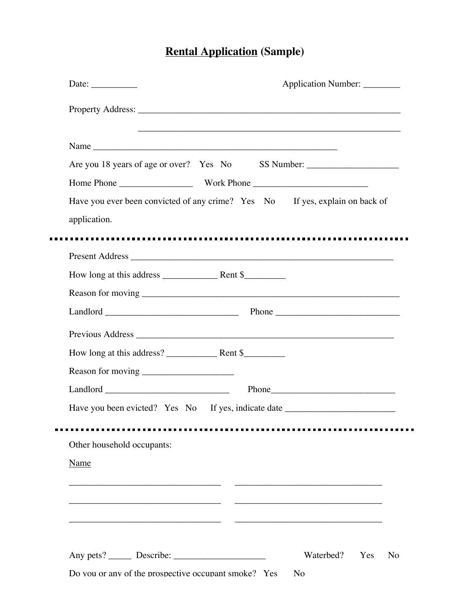## **Rental Application (Sample)**

| Date: $\_\_$                                         | Application Number: ________                                                      |
|------------------------------------------------------|-----------------------------------------------------------------------------------|
|                                                      |                                                                                   |
|                                                      |                                                                                   |
|                                                      | Are you 18 years of age or over? Yes No SS Number: ______________________________ |
|                                                      |                                                                                   |
|                                                      | Have you ever been convicted of any crime? Yes No If yes, explain on back of      |
| application.                                         |                                                                                   |
|                                                      |                                                                                   |
|                                                      |                                                                                   |
|                                                      |                                                                                   |
|                                                      |                                                                                   |
|                                                      |                                                                                   |
|                                                      |                                                                                   |
|                                                      |                                                                                   |
|                                                      |                                                                                   |
| $Land l or u and u are the same and the same point.$ | Phone <b>Phone</b>                                                                |
|                                                      | Have you been evicted? Yes No If yes, indicate date ____________________________  |
|                                                      |                                                                                   |
| Other household occupants:                           |                                                                                   |
| <b>Name</b>                                          |                                                                                   |
|                                                      |                                                                                   |
|                                                      |                                                                                   |
|                                                      |                                                                                   |
|                                                      |                                                                                   |
|                                                      | Waterbed?<br>Yes<br>N <sub>o</sub>                                                |